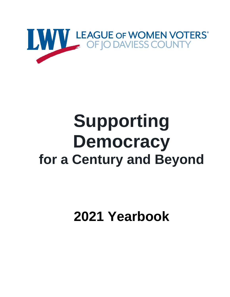

# **Supporting Democracy for a Century and Beyond**

**2021 Yearbook**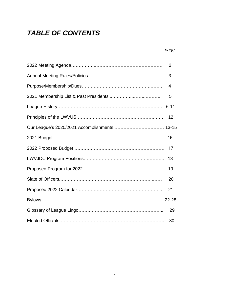# *TABLE OF CONTENTS*

#### *page*

| 2        |
|----------|
| 3        |
| 4        |
| 5        |
| $6 - 11$ |
| 12       |
|          |
| 16       |
| 17       |
| 18       |
| 19       |
| 20       |
| 21       |
|          |
| 29       |
| 30       |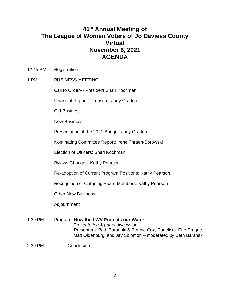# **41st Annual Meeting of The League of Women Voters of Jo Daviess County Virtual November 6, 2021 AGENDA**

12:45 PM Registration

#### 1 PM BUSINESS MEETING

Call to Order--- President Shari Kochman

Financial Report: Treasurer Judy Gratton

Old Business

New Business

Presentation of the 2021 Budget: Judy Gratton

Nominating Committee Report: Irene Thraen-Borowski

Election of Officers: Shari Kochman

Bylaws Changes: Kathy Pearson

Re-adoption of Current Program Positions: Kathy Pearson

Recognition of Outgoing Board Members: Kathy Pearson

Other New Business

Adjournment

1:30 PM Program: **How the LWV Protects our Water** *Presentation & panel discussion* Presenters: Beth Baranski & Bonnie Cox, Panelists: Eric Dregne, Matt Oldenburg, and Jay Solomon – moderated by Beth Baranski

#### 2:30 PM Conclusion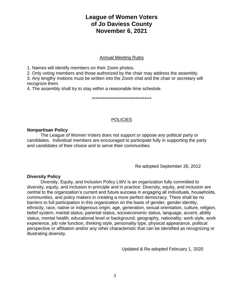# **League of Women Voters of Jo Daviess County November 6, 2021**

#### Annual Meeting Rules

1. Names will identify members on their Zoom photos.

2. Only voting members and those authorized by the chair may address the assembly.

3. Any lengthy motions must be written into the Zoom chat and the chair or secretary will recognize them.

4. The assembly shall try to stay within a reasonable time schedule.

\*\*\*\*\*\*\*\*\*\*\*\*\*\*\*\*\*\*\*\*\*\*\*\*\*\*\*\*\*\*\*\*\*\*

#### **POLICIES**

#### **Nonpartisan Policy**

The League of Women Voters does not support or oppose any political party or candidates. Individual members are encouraged to participate fully in supporting the party and candidates of their choice and to serve their communities.

Re-adopted September 26, 2012

#### **Diversity Policy**

Diversity, Equity, and Inclusion Policy LWV is an organization fully committed to diversity, equity, and inclusion in principle and in practice. Diversity, equity, and inclusion are central to the organization's current and future success in engaging all individuals, households, communities, and policy makers in creating a more perfect democracy. There shall be no barriers to full participation in this organization on the basis of gender, gender identity, ethnicity, race, native or indigenous origin, age, generation, sexual orientation, culture, religion, belief system, marital status, parental status, socioeconomic status, language, accent, ability status, mental health, educational level or background, geography, nationality, work style, work experience, job role function, thinking style, personality type, physical appearance, political perspective or affiliation and/or any other characteristic that can be identified as recognizing or illustrating diversity.

Updated & Re-adopted February 1, 2020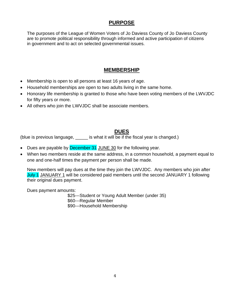# **PURPOSE**

The purposes of the League of Women Voters of Jo Daviess County of Jo Daviess County are to promote political responsibility through informed and active participation of citizens in government and to act on selected governmental issues.

# **MEMBERSHIP**

- Membership is open to all persons at least 16 years of age.
- Household memberships are open to two adults living in the same home.
- Honorary life membership is granted to those who have been voting members of the LWVJDC for fifty years or more.
- All others who join the LWVJDC shall be associate members.

# **DUES**

(blue is previous language, is what it will be if the fiscal year is changed.)

- Dues are payable by December 31 JUNE 30 for the following year.
- When two members reside at the same address, in a common household, a payment equal to one and one-half times the payment per person shall be made.

New members will pay dues at the time they join the LWVJDC. Any members who join after July 1 JANUARY 1 will be considered paid members until the second JANUARY 1 following their original dues payment.

Dues payment amounts:

\$25---Student or Young Adult Member (under 35) \$60---Regular Member \$90---Household Membership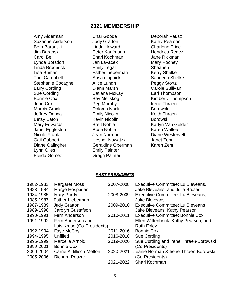## **2021 MEMBERSHIP**

Amy Alderman Suzanne Anderson Beth Baranski Jim Baranski Carol Bell Lynda Borsdorf Linda Broderick Lisa Buman Toni Campbell Stephanie Cocagne Larry Cording Sue Cording Bonnie Cox John Cox Marcia Crook Jeffrey Danna Betsy Eaton Mary Edwards Janet Eggleston Nicole Frank Gail Gabbert Diane Gallagher Lynn Giles Eleida Gomez

Char Goode Judy Gratton Linda Howard Peter Kaufmann Shari Kochman Jan Lavacek Emily Legal Esther Lieberman Susan Lipnick Alice Lundh Diann Marsh Catiana McKay Bev Mellskog Peg Murphy Dolores Nack Emily Nicolin Kevin Nicolin Brett Noble Rose Noble Jean Norman Hesper Nowatzki Geraldine Oberman Emily Painter Gregg Painter

Deborah Pausz Kathy Pearson Charlene Price Hendrica Regez Jane Rickman Mary Rooney Sheahen Kerry Shelke Sandeep Shelke Peggy Stortz Carole Sullivan Earl Thompson Kimberly Thompson Irene Thraen-Borowski Keith Thraen-Borowski Karlyn Van Gelder Karen Walters Diane Westervelt Janet Zehr Karen Zehr

#### *PAST PRESIDENTS*

| 1982-1983 | <b>Margaret Moss</b>       | 2007-2008 | Executive Committee: Lu Bleveans,       |
|-----------|----------------------------|-----------|-----------------------------------------|
| 1983-1984 | Marge Hospodar             |           | Jake Bleveans, and Julie Bruser         |
| 1984-1985 | Mary Purdy                 | 2008-2009 | Executive Committee: Lu Bleveans,       |
| 1985-1987 | <b>Esther Lieberman</b>    |           | <b>Jake Bleveans</b>                    |
| 1987-1989 | <b>Judy Gratton</b>        | 2009-2010 | <b>Executive Committee: Lu Bleveans</b> |
| 1989-1990 | <b>Carolyn Gustafson</b>   |           | Jake Bleveans, Kathy Pearson            |
| 1990-1991 | Fern Anderson              | 2010-2011 | Executive Committee: Bonnie Cox,        |
| 1991-1992 | Fern Anderson and          |           | Ellen Wittenbrink, Kathy Pearson, and   |
|           | Lois Kruse (Co-Presidents) |           | <b>Ruth Foley</b>                       |
| 1992-1994 | Faye McCoy                 | 2011-2016 | <b>Bonnie Cox</b>                       |
| 1994-1995 | Unfilled                   | 2016-2018 | <b>Sue Cording</b>                      |
| 1995-1999 | Marcella Arnold            | 2019-2020 | Sue Cording and Irene Thraen-Borowski   |
| 1999-2001 | <b>Bonnie Cox</b>          |           | (Co-Presidents)                         |
| 2000-2004 | Carrie Altfillisch-Melton  | 2020-2021 | Jeanie Norman & Irene Thraen-Borowski   |
| 2005-2006 | <b>Richard Pouzar</b>      |           | (Co-Presidents)                         |
|           |                            | 2021-2022 | Shari Kochman                           |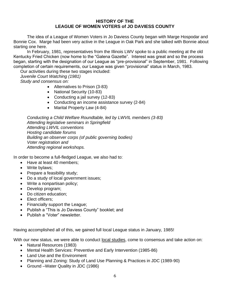#### **HISTORY OF THE LEAGUE OF WOMEN VOTERS of JO DAVIESS COUNTY**

The idea of a League of Women Voters in Jo Daviess County began with Marge Hospodar and Bonnie Cox. Marge had been very active in the League in Oak Park and she talked with Bonnie about starting one here.

In February, 1981, representatives from the Illinois LWV spoke to a public meeting at the old Kentucky Fried Chicken (now home to the "Galena Gazette". Interest was great and so the process began, starting with the designation of our League as "pre-provisional" in September, 1981. Following completion of certain requirements, our League was given "provisional" status in March, 1983.

Our activities during these two stages included:

*Juvenile Court Watching (1981) Study and consensus on:*

- Alternatives to Prison (3-83)
- National Security (10-83)
- Conducting a jail survey (12-83)
- Conducting an income assistance survey (2-84)
- Marital Property Law (4-84)

*Conducting a Child Welfare Roundtable, led by LWVIL members (3-83) Attending legislative seminars in Springfield Attending LWVIL conventions Hosting candidate forums Building an observer corps (of public governing bodies) Voter registration and Attending regional workshops.*

In order to become a full-fledged League, we also had to:

- Have at least 40 members;
- Write bylaws:
- Prepare a feasibility study;
- Do a study of local government issues;
- Write a nonpartisan policy;
- Develop program;
- Do citizen education;
- Elect officers:
- Financially support the League;
- Publish a "This is Jo Daviess County" booklet; and
- Publish a "Voter" newsletter.

Having accomplished all of this, we gained full local League status in January, 1985!

With our new status, we were able to conduct local studies, come to consensus and take action on:

- Natural Resources (1983)
- Mental Health Services: Preventive and Early Intervention (1985-86)
- Land Use and the Environment
- Planning and Zoning: Study of Land Use Planning & Practices in JDC (1989-90)
- Ground –Water Quality in JDC (1986)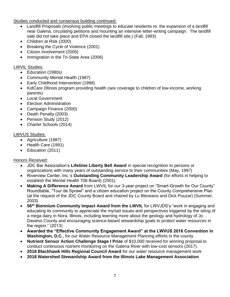Studies conducted and consensus building continued:

- Landfill Proposals (involving public meetings to educate residents re. the expansion of a landfill near Galena, circulating petitions and mounting an intensive letter-writing campaign. The landfill sale did not take place and EPA closed the landfill site.) (Fall, 1993)
- Children at Risk (2000)
- Breaking the Cycle of Violence (2001)
- Citizen Involvement (2005)
- Immigration in the Tri-State Area (2006)

## LWVIL Studies:

- Education (1980s)
- Community Mental Health (1987)
- Early Childhood Intervention (1998)
- KidCare (Illinois program providing health care coverage to children of low-income, working parents)
- Local Government
- **Election Administration**
- Campaign Finance (2000)
- Death Penalty (2003)
- Pension Study (2012)
- Charter Schools (2014)

## LWVUS Studies:

- Agriculture (1987)
- Health Care (1991)
- Education (2011)

# Honors Received:

- JDC Bar Association's **Lifetime Liberty Bell Award** in special recognition to persons or organizations with many years of outstanding service to their communities (May, 1997)
- Riverview Center, Inc.'s **Outstanding Community Leadership Award** (for efforts in helping to establish the Mental Health 708 Board) (2001)
- **Making A Difference Award** from LWVIL for our 3-year project on "Smart-Growth for Our County" Roundtable, "Tour de Sprawl" and a citizen education project on the County Comprehensive Plan (at the request of the JDC County Board and chaired by Lu Bleveans and Dick Pouzar) (Summer, 2003)
- **56th Biennium Community Impact Award from the LWVIL** for LWVJDS's "work in engaging and educating its community to appreciate the myriad issues and perspectives triggered by the siting of a mega dairy in Nora, Illinois, including learning more about the geology and hydrology of Jo Daviess County and encouraging science-based stewardship goals to protect water resources in the region." (2013)
- **Awarded the "Effective Community Engagement Award" at the LWVUS 2016 Convention in Washington, D.C.**, for our Water Resource Management Planning efforts in the county.
- **Nutrient Sensor Action Challenge Stage I Prize** of \$10,000 received for winning proposal to conduct continuous nutrient monitoring on the Galena River with low-cost sensors (2017).
- **2018 Blackhawk Hills Regional Council Award** for our water resource management work
- **2018 Watershed Stewardship Award from the Illinois Lake Management Association**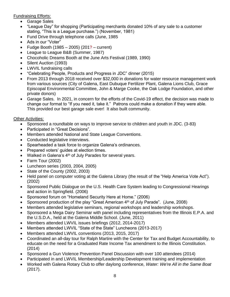Fundraising Efforts:

- Garage Sales
- "League Day" for shopping (Participating merchants donated 10% of any sale to a customer stating, "This is a League purchase.") (November, 1981)
- Fund Drive through telephone calls (June, 1985)
- Ads in our "Voter"
- Fudge Booth  $(1985 2005)$   $(201? -$  current)
- League to League B&B (Summer, 1987)
- Chocoholic Dreams Booth at the June Arts Festival (1989, 1990)
- Silent Auction (1993)
- LWVIL fundraising calls
- "Celebrating People, Products and Progress in JDC" dinner (2015)
- From 2013 through 2018 received over \$32,000 in donations for water resource management work from various sources (City of Galena, East Dubuque Fertilizer Plant, Galena Lions Club, Grace Episcopal Environmental Committee, John & Marge Cooke, the Oak Lodge Foundation, and other private donors)
- Garage Sales. In 2021, in concern for the efforts of the Covid-19 effect, the decision was made to change our format to "If you need it, take it." Patrons could make a donation if they were able. This provided our best garage sale ever! It also built community.

#### Other Activities:

- Sponsored a roundtable on ways to improve service to children and youth in JDC. (3-83)
- Participated in "Great Decisions".
- Members attended National and State League Conventions.
- Conducted legislative interviews.
- Spearheaded a task force to organize Galena's ordinances.
- Prepared voters' guides at election times.
- Walked in Galena's  $4<sup>th</sup>$  of July Parades for several years.
- Farm Tour (2002)
- Luncheon series (2003, 2004, 2005)
- State of the County (2002, 2003)
- Held panel on computer voting at the Galena Library (the result of the "Help America Vote Act"). (2002)
- Sponsored Public Dialogue on the U.S. Health Care System leading to Congressional Hearings and action in Springfield. (2006)
- Sponsored forum on "Homeland Security Here at Home." (2006)
- Sponsored production of the play "Great American 4th of July Parade". (June, 2008)
- Members attended legislative seminars, regional workshops and leadership workshops.
- Sponsored a Mega Dairy Seminar with panel including representatives from the Illinois E.P.A. and the U.S.D.A., held at the Galena Middle School. (June, 2011)
- Members attended LWVIL issues briefings (2012, 2014-2017)
- Members attended LWVIL "State of the State" Luncheons (2013-2017)
- Members attended LWVIL conventions (2013, 2015, 2017)
- Coordinated an all-day tour for Ralph Martire with the Center for Tax and Budget Accountability, to educate on the need for a Graduated Rate Income Tax amendment to the Illinois Constitution. (2014)
- Sponsored a Gun Violence Prevention Panel Discussion with over 100 attendees (2014)
- Participated in and LWVIL Membership/Leadership Development training and implementation
- Worked with Galena Rotary Club to offer daylong conference, *Water: We're All in the Same Boat* (2017).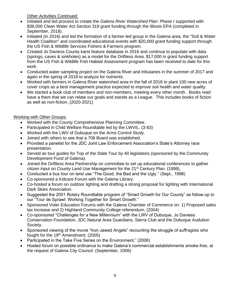Other Activities Continued:

- Initiated and led process to create the *Galena River Watershed Plan: Phase I* supported with \$38,000 Clean Water Act Section 319 grant funding through the Illinois EPA (completed in September, 2018).
- Initiated (in 2016) and led the formation of a farmer-led group in the Galena area, the "Soil & Water Health Coalition" and coordinated educational events with \$20,000 grant funding support through the US Fish & Wildlife Services Fishers & Farmers program.
- Created Jo Daviess County karst feature database in 2016 and continue to populate with data (springs, caves & sinkholes) as a model for the Driftless Area. \$17,000 in grant funding support from the US Fish & Wildlife Fish Habitat Assessment program has been received to date for this work.
- Conducted water sampling project on the Galena River and tributaries in the summer of 2017 and again in the spring of 2018 to analyze for nutrients.
- Worked with farmers in Galena River watershed area in the fall of 2018 to plant 100 new acres of cover crops as a best management practice expected to improve soil health and water quality.
- We started a book club of members and non-members, meeting every other month. Books read have a them that we can relate our goals and stands as a League. This includes books of fiction as well as non-fiction. (2020-2021)

# Working with Other Groups:

- Worked with the County Comprehensive Planning Committee.
- Participated in Child Welfare Roundtable led by the LWVIL. (3-83)
- Worked with the LWV of Dubuque on the Arms Control Study.
- Joined with others to see that a 708 Board was established.
- Provided a panelist for the JDC Joint Law Enforcement Association's State's Attorney race presentation.
- Served as tour guides for Top of the State Tour by 40 legislators (sponsored by the Community Development Fund of Galena).
- Joined the Driftless Area Partnership on committee to set up educational conferences to gather citizen input on County Land Use Management for the 21st Century Plan. (1998),
- Conducted a bus tour on land use "The Good, the Bad and the Ugly." (Sept., 1998)
- Co-sponsored a Kidcare Forum with the Galena Library.
- Co-hosted a forum on outdoor lighting and drafting a strong proposal for lighting with International Dark Skies Association.
- Suggested the 2001 Rotary Roundtable program of "Smart Growth for Our County" as follow-up to our "Tour de Sprawl: Working Together for Smart Growth."
- Sponsored Voter Education Forums with the Galena Chamber of Commerce on: 1) Proposed sales tax increase and 2) Highland Community College referendum. (2004)
- Co-sponsored "Challenges for a New Millennium" with the LWV of Dubuque, Jo Daviess Conservation Foundation, JDC Natural Area Guardians, Sierra Club and the Dubuque Audubon Society.
- Sponsored viewing of the movie "Iron-Jawed Angels" recounting the struggle of suffragists who fought for the 19<sup>th</sup> Amendment. (2005)
- Participated in the Take Five Series on the Environment." (2006)
- Hosted forum on possible ordinance to make Galena's commercial establishments smoke-free, at the request of Galena City Council. (September, 2006)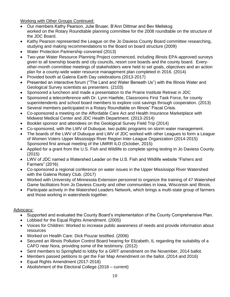Working with Other Groups Continued:

- Our members Kathy Pearson, Julie Bruser, B'Ann Dittmar and Bev Mellskog worked on the Rotary Roundtable planning committee for the 2008 roundtable on the structure of the JDC Board.
- Kathy Pearson represented the League on the Jo Daviess County Board committee researching, studying and making recommendations to the Board on board structure (2009)
- Water Protection Partnership convened (2013)
- Two-year Water Resource Planning Project commenced, including Illinois EPA-approved surveys given to all township boards and city councils, resort core boards and the county board. Everyother-month committee meetings of stakeholders were held to set goals, objectives and an action plan for a county-wide water resource management plan completed in 2016. (2014)
- Provided booth at Galena Earth Day celebrations (2013-2017)
- Presented an interactive forum ("The Land and Water Beneath Us") with the Illinois Water and Geological Survey scientists as presenters. (2103)
- Sponsored a luncheon and made a presentation to the Prairie Institute Retreat in JDC
- Sponsored a teleconference with Dr. Lynn Haefele, Classrooms First Task Force, for county superintendents and school board members to explore cost savings through cooperation. (2013)
- Several members participated in a Rotary Roundtable on Illinois" Fiscal Crisis.
- Co-sponsored a meeting on the Affordable Care Act and Health Insurance Marketplace with Midwest Medical Center and JDC Health Department. (2013-2014)
- Booklet sponsor and attendees on the Geological Survey Field Trip (2014)
- Co-sponsored, with the LWV of Dubuque, two public programs on storm water management.
- The boards of the LWV of Dubuque and LWV of JDC worked with other Leagues to form a League of Women Voters Upper Mississippi River Region Inter-League Organization (2014-2015) Sponsored first annual meeting of the UMRR ILO (October, 2015)
- Applied for a grant from the U.S. Fish and Wildlife to complete spring testing in Jo Daviess County. (2015)
- LWV of JDC named a Watershed Leader on the U.S. Fish and Wildlife website "Fishers and Farmers" (2016)
- Co-sponsored a regional conference on water issues in the Upper Mississippi River Watershed with the Galena Rotary Club. (2017)
- Worked with University of Minnesota Extension personnel to organize the training of 47 Watershed Game facilitators from Jo Daviess County and other communities in Iowa, Wisconsin and Illinois.
- Participate actively in the Watershed Leaders Network, which brings a multi-state group of farmers and those working in watersheds together.

#### Advocacy:

- Supported and evaluated the County Board's implementation of the County Comprehensive Plan.
- Lobbied for the Equal Rights Amendment. (2005)
- Voices for Children: Worked to increase public awareness of needs and provide information about resources
- Worked on Health Care: Dick Pouzar testified. (2006)
- Secured an Illinois Pollution Control Board hearing for Elizabeth, IL regarding the suitability of a CAFO near Nora, providing some of the testimony. (2012)
- Sent members to Springfield to lobby for a GRIT amendment on the November, 2014 ballot.
- Members passed petitions to get the Fair Map Amendment on the ballot. (2014 and 2016)
- Equal Rights Amendment (2017-2018)
- Abolishment of the Electoral College (2018 current)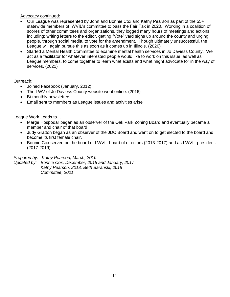#### Advocacy continued:

- Our League was represented by John and Bonnie Cox and Kathy Pearson as part of the 55+ statewide members of IWVIL's committee to pass the Fair Tax in 2020. Working in a coalition of scores of other committees and organizations, they logged many hours of meetings and actions, including: writing letters to the editor, getting "Vote" yard signs up around the county and urging people, through social media, to vote for the amendment. Though ultimately unsuccessful, the League will again pursue this as soon as it comes up in Illinois. (2020)
- Started a Mental Health Committee to examine mental health services in Jo Daviess County. We act as a facilitator for whatever interested people would like to work on this issue, as well as League members, to come together to learn what exists and what might advocate for in the way of services. (2021)

#### Outreach:

- Joined Facebook (January, 2012)
- The LWV of Jo Daviess County website went online. (2016)
- Bi-monthly newsletters
- Email sent to members as League issues and activities arise

#### League Work Leads to…

- Marge Hospodar began as an observer of the Oak Park Zoning Board and eventually became a member and chair of that board.
- Judy Gratton began as an observer of the JDC Board and went on to get elected to the board and become its first female chair.
- Bonnie Cox served on the board of LWVIL board of directors (2013-2017) and as LWVIL president. (2017-2019)

*Prepared by: Kathy Pearson, March, 2010 Updated by: Bonnie Cox, December, 2015 and January, 2017 Kathy Pearson, 2018, Beth Baranski, 2018 Committee, 2021*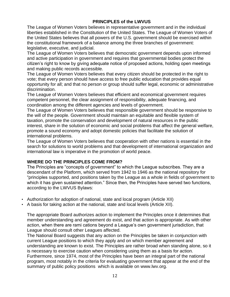# **PRINCIPLES of the LWVUS**

The League of Women Voters believes in representative government and in the individual liberties established in the Constitution of the United States. The League of Women Voters of the United States believes that all powers of the U.S. government should be exercised within the constitutional framework of a balance among the three branches of government: legislative, executive, and judicial.

The League of Women Voters believes that democratic government depends upon informed and active participation in government and requires that governmental bodies protect the citizen's right to know by giving adequate notice of proposed actions, holding open meetings and making public records accessible.

The League of Women Voters believes that every citizen should be protected in the right to vote; that every person should have access to free public education that provides equal opportunity for all; and that no person or group should suffer legal, economic or administrative discrimination.

The League of Women Voters believes that efficient and economical government requires competent personnel, the clear assignment of responsibility, adequate financing, and coordination among the different agencies and levels of government.

The League of Women Voters believes that responsible government should be responsive to the will of the people. Government should maintain an equitable and flexible system of taxation, promote the conservation and development of natural resources in the public interest, share in the solution of economic and social problems that affect the general welfare, promote a sound economy and adopt domestic policies that facilitate the solution of international problems.

The League of Women Voters believes that cooperation with other nations is essential in the search for solutions to world problems and that development of international organization and international law is imperative in the promotion of world peace.

## **WHERE DO THE PRINCIPLES COME FROM?**

The Principles are "concepts of government" to which the League subscribes. They are a descendant of the Platform, which served from 1942 to 1946 as the national repository for "principles supported, and positions taken by the League as a whole in fields of government to which it has given sustained attention." Since then, the Principles have served two functions, according to the LWVUS Bylaws:

- Authorization for adoption of national, state and local program (Article XII)
- A basis for taking action at the national, state and local levels (Article XII).

The appropriate Board authorizes action to implement the Principles once it determines that member understanding and agreement do exist, and that action is appropriate. As with other action, when there are rami cations beyond a League's own government jurisdiction, that League should consult other Leagues affected.

The National Board suggests that any action on the Principles be taken in conjunction with current League positions to which they apply and on which member agreement and understanding are known to exist. The Principles are rather broad when standing alone, so it is necessary to exercise caution when considering using them as a basis for action. Furthermore, since 1974, most of the Principles have been an integral part of the national program, most notably in the criteria for evaluating government that appear at the end of the summary of public policy positions which is available on www.lwv.org.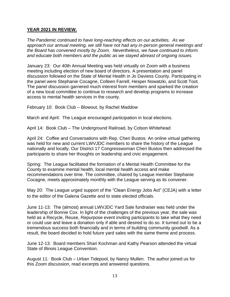#### **YEAR 2021 IN REVIEW.**

*The Pandemic continued to have long-reaching effects on our activities. As we approach our annual meeting, we still have not had any in-person general meetings and the Board has convened mostly by Zoom. Nevertheless, we have continued to inform and educate both members and the public as we stayed abreast of ongoing issues.*

January 23: Our 40th Annual Meeting was held virtually on Zoom with a business meeting including election of new board of directors. A presentation and panel discussion followed on the State of Mental Health in Jo Daviess County. Participating in the panel were Stephanie Cocagne, Colleen Farrell, Hesper Nowatzki, and Scott Toot. The panel discussion garnered much interest from members and sparked the creation of a new local committee to continue to research and develop programs to increase access to mental health services in the county.

February 10: Book Club – Blowout, by Rachel Maddow

March and April: The League encouraged participation in local elections.

April 14: Book Club – The Underground Railroad, by Colson Whitehead

April 24: Coffee and Conversations with Rep. Cheri Bustos: An online virtual gathering was held for new and current LWVJDC members to share the history of the League nationally and locally. Our District 17 Congresswoman Cheri Bustos then addressed the participants to share her thoughts on leadership and civic engagement.

Spring: The League facilitated the formation of a Mental Health Committee for the County to examine mental health, local mental health access and make recommendations over time. The committee, chaired by League member Stephanie Cocagne, meets approximately monthly with the League serving as its convener.

May 20: The League urged support of the "Clean Energy Jobs Act" (CEJA) with a letter to the editor of the Galena Gazette and to state elected officials.

June 11-13: The (almost) annual LWVJDC Yard Sale fundraiser was held under the leadership of Bonnie Cox. In light of the challenges of the previous year, the sale was held as a Recycle, Reuse, Repurpose event inviting participants to take what they need or could use and leave a donation only if able and desired to do so. It turned out to be a tremendous success both financially and in terms of building community goodwill. As a result, the board decided to hold future yard sales with the same theme and process.

June 12-13: Board members Shari Kochman and Kathy Pearson attended the virtual State of Illinois League Convention.

August 11: Book Club – Urban Tidepool, by Nancy Mullen. The author joined us for this Zoom discussion, read excerpts and answered questions.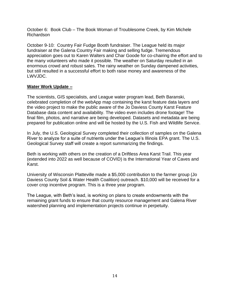October 6: Book Club – The Book Woman of Troublesome Creek, by Kim Michele Richardson

October 9-10: Country Fair Fudge Booth fundraiser. The League held its major fundraiser at the Galena Country Fair making and selling fudge. Tremendous appreciation goes out to Karen Walters and Char Goode for co-chairing the effort and to the many volunteers who made it possible. The weather on Saturday resulted in an enormous crowd and robust sales. The rainy weather on Sunday dampened activities, but still resulted in a successful effort to both raise money and awareness of the LWVJDC.

#### **Water Work Update –**

The scientists, GIS specialists, and League water program lead, Beth Baranski, celebrated completion of the webApp map containing the karst feature data layers and the video project to make the public aware of the Jo Daviess County Karst Feature Database data content and availability. The video even includes drone footage! The final film, photos, and narrative are being developed. Datasets and metadata are being prepared for publication online and will be hosted by the U.S. Fish and Wildlife Service.

In July, the U.S. Geological Survey completed their collection of samples on the Galena River to analyze for a suite of nutrients under the League's Illinois EPA grant. The U.S. Geological Survey staff will create a report summarizing the findings.

Beth is working with others on the creation of a Driftless Area Karst Trail. This year (extended into 2022 as well because of COVID) is the International Year of Caves and Karst.

University of Wisconsin Platteville made a \$5,000 contribution to the farmer group (Jo Daviess County Soil & Water Health Coalition) outreach. \$10,000 will be received for a cover crop incentive program. This is a three year program.

The League, with Beth's lead, is working on plans to create endowments with the remaining grant funds to ensure that county resource management and Galena River watershed planning and implementation projects continue in perpetuity.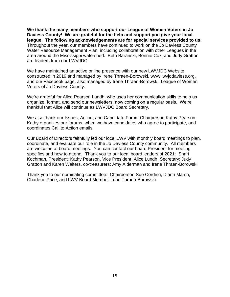**We thank the many members who support our League of Women Voters in Jo Daviess County! We are grateful for the help and support you give your local league. The following acknowledgements are for special services provided to us:** Throughout the year, our members have continued to work on the Jo Daviess County Water Resource Management Plan, including collaboration with other Leagues in the area around the Mississippi watershed. Beth Baranski, Bonnie Cox, and Judy Gratton are leaders from our LWVJDC.

We have maintained an active online presence with our new LWVJDC Website, constructed in 2019 and managed by Irene Thraen-Borowski, www.lwvjodaviess.org, and our Facebook page, also managed by Irene Thraen-Borowski, League of Women Voters of Jo Daviess County.

We're grateful for Alice Pearson Lundh, who uses her communication skills to help us organize, format, and send our newsletters, now coming on a regular basis. We're thankful that Alice will continue as LWVJDC Board Secretary.

We also thank our Issues, Action, and Candidate Forum Chairperson Kathy Pearson. Kathy organizes our forums, when we have candidates who agree to participate, and coordinates Call to Action emails.

Our Board of Directors faithfully led our local LWV with monthly board meetings to plan, coordinate, and evaluate our role in the Jo Daviess County community. All members are welcome at board meetings. You can contact our board President for meeting specifics and how to attend. Thank you to our local board leaders of 2021: Shari Kochman, President; Kathy Pearson, Vice President; Alice Lundh, Secretary; Judy Gratton and Karen Walters, co-treasurers; Amy Alderman and Irene Thraen-Borowski.

Thank you to our nominating committee: Chairperson Sue Cording, Diann Marsh, Charlene Price, and LWV Board Member Irene Thraen-Borowski.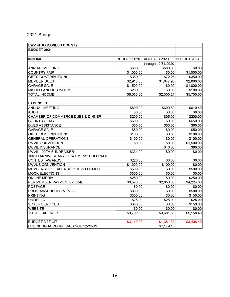# 2021 Budget

| LWV of JO DAVIESS COUNTY                     |             |                     |             |
|----------------------------------------------|-------------|---------------------|-------------|
| <b>BUDGET 2021</b>                           |             |                     |             |
|                                              |             |                     |             |
| <b>INCOME</b>                                | BUDGET 2020 | <b>ACTUALS 2020</b> | BUDGET 2021 |
|                                              |             | through 10/31/2020  |             |
| <b>ANNUAL MEETING</b>                        | \$600.00    | \$580.00            | \$0.00      |
| <b>COUNTRY FAIR</b>                          | \$1,000.00  | \$0.00              | \$1,500.00  |
| <b>GIFTS/CONTRIBUTIONS</b>                   | \$350.00    | \$72.25             | \$350.00    |
| <b>MEMBER DUES</b>                           | \$2,910.00  | \$1,647.96          | \$2,800.00  |
| <b>GARAGE SALE</b>                           | \$1,500.00  | \$0.00              | \$1,000.00  |
| MISCELLANEOUS INCOME                         | \$200.00    | \$0.00              | \$100.00    |
| <b>TOTAL INCOME</b>                          | \$6,560.00  | \$2,300.21          | \$5,750.00  |
| <b>EXPENSES</b>                              |             |                     |             |
| <b>ANNUAL MEETING</b>                        | \$800.00    | \$699.60            | \$619.40    |
| <b>AUDIT</b>                                 | \$0.00      | \$0.00              | \$0.00      |
| <b>CHAMBER OF COMMERCE DUES &amp; DINNER</b> | \$200.00    | \$95.00             | \$200.00    |
| <b>COUNTRY FAIR</b>                          | \$600.00    | \$0.00              | \$650.00    |
| <b>DUES ASSISTANCE</b>                       | \$60.00     | \$60.00             | \$60.00     |
| <b>GARAGE SALE</b>                           | \$50.00     | \$0.00              | \$50.00     |
| GIFTS/CONTRIBUTIONS                          | \$100.00    | \$0.00              | \$100.00    |
| <b>GENERAL OPERATIONS</b>                    | \$100.00    | \$0.00              | \$100.00    |
| <b>LWVIL CONVENTION</b>                      | \$0.00      | \$0.00              | \$1,500.00  |
| <b>LWVIL INSURANCE</b>                       |             | \$46.00             | \$80.00     |
| LWVIL 100TH FUNDRAISER                       | \$334.00    | \$0.00              | \$0.00      |
| 100TH ANNIVERSARY OF WOMEN'S SUFFRAGE        |             |                     |             |
| <b>CONTEST AWARDS</b>                        | \$220.00    | \$0.00              | \$0.00      |
| <b>LWVUS CONVENTION</b>                      | \$1,200.00  | \$100.00            | \$0.00      |
| MEMBERSHIP/LEADERSHIP DEVELOPMENT            | \$500.00    | \$0.00              | \$500.00    |
| <b>MOCK ELECTIONS</b>                        | \$300.00    | \$0.00              | \$0.00      |
| <b>ONLINE MEDIA</b>                          | \$250.00    | \$0.00              | \$250.00    |
| PER MEMBER PAYMENTS-US&IL                    | \$3,570.00  | \$2,656.00          | \$4,224.00  |
| <b>POSTAGE</b>                               | \$0.00      | \$0.00              | \$0.00      |
| PROGRAM/PUBLIC EVENTS                        | \$800.00    | \$0.00              | \$500.00    |
| <b>PRINTING</b>                              | \$300.00    | \$0.00              | \$150.00    |
| <b>UMRR ILO</b>                              | \$25.00     | \$25.00             | \$25.00     |
| <b>VOTER SERVICES</b>                        | \$300.00    | \$0.00              | \$150.00    |
| <b>WEBSITE</b>                               | \$0.00      | \$0.00              | \$0.00      |
| <b>TOTAL EXPENSES</b>                        | \$9,709.00  | \$3,681.60          | \$9,158.40  |
|                                              |             |                     |             |
| <b>BUDGET DEFICIT</b>                        | \$3,149.00  | \$1,381.39          | \$3,408.40  |
| CHECKING ACCOUNT BALANCE 12-31-19            |             | \$7,179.16          |             |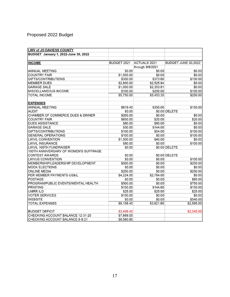# Proposed 2022 Budget

| LWV of JO DAVIESS COUNTY              |             |                     |                     |
|---------------------------------------|-------------|---------------------|---------------------|
| BUDGET January 1, 2022-June 30, 2022  |             |                     |                     |
|                                       |             |                     |                     |
| <b>INCOME</b>                         | BUDGET 2021 | <b>ACTUALS 2021</b> | BUDGET JUNE 30,2022 |
|                                       |             | through 9/8/2021    |                     |
| <b>ANNUAL MEETING</b>                 | \$0.00      | \$0.00              | \$0.00              |
| <b>COUNTRY FAIR</b>                   | \$1,500.00  | \$0.00              | \$0.00              |
| GIFTS/CONTRIBUTIONS                   | \$350.00    | \$373.60            | \$150.00            |
| <b>MEMBER DUES</b>                    | \$2,800.00  | \$2,525.94          | \$0.00              |
| <b>GARAGE SALE</b>                    | \$1,000.00  | \$2,353.81          | \$0.00              |
| MISCELLANEOUS INCOME                  | \$100.00    | \$200.00            | \$100.00            |
| <b>TOTAL INCOME</b>                   | \$5,750.00  | \$5,453.35          | \$250.00            |
| <b>EXPENSES</b>                       |             |                     |                     |
| <b>ANNUAL MEETING</b>                 | \$619.40    | \$350.00            | \$150.00            |
| <b>AUDIT</b>                          | \$0.00      |                     | \$0.00 DELETE       |
| CHAMBER OF COMMERCE DUES & DINNER     | \$200.00    | \$0.00              | \$0.00              |
| <b>COUNTRY FAIR</b>                   | \$650.00    | \$20.00             | \$20.00             |
| <b>DUES ASSISTANCE</b>                | \$60.00     | \$60.00             | \$0.00              |
| <b>GARAGE SALE</b>                    | \$50.00     | \$144.00            | \$0.00              |
| GIFTS/CONTRIBUTIONS                   | \$100.00    | \$54.00             | \$100.00            |
| <b>GENERAL OPERATIONS</b>             | \$100.00    | \$0.00              | \$100.00            |
| <b>LWVIL CONVENTION</b>               | \$1,500.00  | \$40.00             | \$0.00              |
| <b>LWVIL INSURANCE</b>                | \$80.00     | \$0.00              | \$100.00            |
| LWVIL 100TH FUNDRAISER                | \$0.00      |                     | \$0.00 DELETE       |
| 100TH ANNIVERSARY OF WOMEN'S SUFFRAGE |             |                     |                     |
| <b>CONTEST AWARDS</b>                 | \$0.00      |                     | \$0.00 DELETE       |
| LWVUS CONVENTION                      | \$0.00      | \$0.00              | \$100.00            |
| MEMBERSHIP/LEADERSHIP DEVELOPMENT     | \$500.00    | \$0.00              | \$250.00            |
| <b>MOCK ELECTIONS</b>                 | \$0.00      | \$0.00              | \$0.00              |
| <b>ONLINE MEDIA</b>                   | \$250.00    | \$0.00              | \$250.00            |
| PER MEMBER PAYMENTS-US&IL             | \$4,224.00  | \$2,784.00          | \$0.00              |
| <b>POSTAGE</b>                        | \$0.00      | \$0.00              | \$60.00             |
| PROGRAM/PUBLIC EVENTS/MENTAL HEALTH   | \$500.00    | \$0.00              | \$750.00            |
| <b>PRINTING</b>                       | \$150.00    | \$144.60            | \$150.00            |
| <b>UMRR ILO</b>                       | \$25.00     | \$25.00             | \$25.00             |
| <b>VOTER SERVICES</b>                 | \$150.00    | \$0.00              | \$0.00              |
| <b>WEBSITE</b>                        | \$0.00      | \$0.00              | \$540.00            |
| <b>TOTAL EXPENSES</b>                 | \$9,158.40  | \$3,621.60          | \$2,595.00          |
|                                       |             |                     |                     |
| <b>BUDGET DEFICIT</b>                 | \$3,408.40  |                     | \$2,345.00          |
| CHECKING ACCOUNT BALANCE 12-31-20     | \$7,669.05  |                     |                     |
| CHECKING ACCOUNT BALANCE 9-8-21       | \$9,560.80  |                     |                     |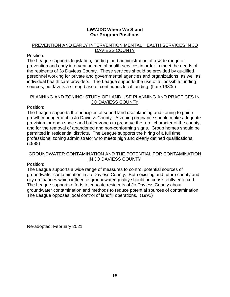#### **LWVJDC Where We Stand Our Program Positions**

#### PREVENTION AND EARLY INTERVENTION MENTAL HEALTH SERVICES IN JO DAVIESS COUNTY

#### Position:

The League supports legislation, funding, and administration of a wide range of prevention and early intervention mental health services in order to meet the needs of the residents of Jo Daviess County. These services should be provided by qualified personnel working for private and governmental agencies and organizations, as well as individual health care providers. The League supports the use of all possible funding sources, but favors a strong base of continuous local funding. (Late 1980s)

#### PLANNING AND ZONING: STUDY OF LAND USE PLANNING AND PRACTICES IN JO DAVIESS COUNTY

Position:

The League supports the principles of sound land use planning and zoning to guide growth management in Jo Daviess County. A zoning ordinance should make adequate provision for open space and buffer zones to preserve the rural character of the county, and for the removal of abandoned and non-conforming signs. Group homes should be permitted in residential districts. The League supports the hiring of a full time professional zoning administrator who meets high and clearly defined qualifications. (1988)

#### GROUNDWATER CONTAMINATION AND THE POTENTIAL FOR CONTAMINATION IN JO DAVIESS COUNTY

Position:

The League supports a wide range of measures to control potential sources of groundwater contamination in Jo Daviess County. Both existing and future county and city ordinances which influence groundwater quality should be consistently enforced. The League supports efforts to educate residents of Jo Daviess County about groundwater contamination and methods to reduce potential sources of contamination. The League opposes local control of landfill operations. (1991)

Re-adopted: February 2021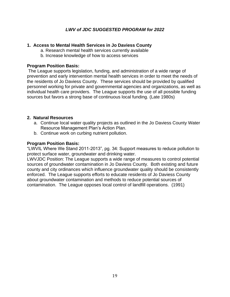# *LWV of JDC SUGGESTED PROGRAM for 2022*

#### **1. Access to Mental Health Services in Jo Daviess County**

- a. Research mental health services currently available
- b. Increase knowledge of how to access services

#### **Program Position Basis:**

The League supports legislation, funding, and administration of a wide range of prevention and early intervention mental health services in order to meet the needs of the residents of Jo Daviess County. These services should be provided by qualified personnel working for private and governmental agencies and organizations, as well as individual health care providers. The League supports the use of all possible funding sources but favors a strong base of continuous local funding. (Late 1980s)

#### **2. Natural Resources**

- a. Continue local water quality projects as outlined in the Jo Daviess County Water Resource Management Plan's Action Plan.
- b. Continue work on curbing nutrient pollution.

#### **Program Position Basis:**

"LWVIL Where We Stand 2011-2013", pg. 34: Support measures to reduce pollution to protect surface water, groundwater and drinking water.

LWVJDC Position: The League supports a wide range of measures to control potential sources of groundwater contamination in Jo Daviess County. Both existing and future county and city ordinances which influence groundwater quality should be consistently enforced. The League supports efforts to educate residents of Jo Daviess County about groundwater contamination and methods to reduce potential sources of contamination. The League opposes local control of landfill operations. (1991)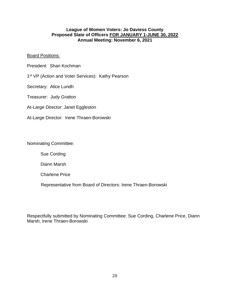#### **League of Women Voters: Jo Daviess County Proposed Slate of Officers FOR JANUARY 1-JUNE 30, 2022 Annual Meeting: November 6, 2021**

#### **Board Positions:**

- President: Shari Kochman
- 1<sup>st</sup> VP (Action and Voter Services): Kathy Pearson
- Secretary: Alice Lundh
- Treasurer: Judy Gratton
- At-Large Director: Janet Eggleston
- At-Large Director: Irene Thraen-Borowski

Nominating Committee:

Sue Cording

Diann Marsh

Charlene Price

Representative from Board of Directors: Irene Thraen-Borowski

Respectfully submitted by Nominating Committee: Sue Cording, Charlene Price, Diann Marsh, Irene Thraen-Borowski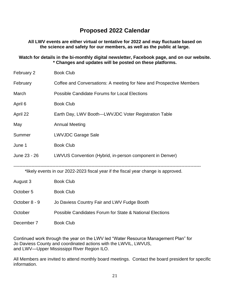# **Proposed 2022 Calendar**

**All LWV events are either virtual or tentative for 2022 and may fluctuate based on the science and safety for our members, as well as the public at large.** 

**Watch for details in the bi-monthly digital newsletter, Facebook page, and on our website. \* Changes and updates will be posted on these platforms.**

| February 2    | <b>Book Club</b>                                                                   |
|---------------|------------------------------------------------------------------------------------|
| February      | Coffee and Conversations: A meeting for New and Prospective Members                |
| March         | <b>Possible Candidate Forums for Local Elections</b>                               |
| April 6       | <b>Book Club</b>                                                                   |
| April 22      | Earth Day, LWV Booth---LWVJDC Voter Registration Table                             |
| May           | <b>Annual Meeting</b>                                                              |
| Summer        | <b>LWVJDC Garage Sale</b>                                                          |
| June 1        | <b>Book Club</b>                                                                   |
| June 23 - 26  | LWVUS Convention (Hybrid, in-person component in Denver)                           |
|               | *likely events in our 2022-2023 fiscal year if the fiscal year change is approved. |
| August 3      | <b>Book Club</b>                                                                   |
| October 5     | <b>Book Club</b>                                                                   |
| October 8 - 9 | Jo Daviess Country Fair and LWV Fudge Booth                                        |
| October       | Possible Candidates Forum for State & National Elections                           |

December 7 Book Club

Continued work through the year on the LWV led "Water Resource Management Plan" for Jo Daviess County and coordinated actions with the LWVIL, LWVUS, and LWV—Upper Mississippi River Region ILO.

All Members are invited to attend monthly board meetings. Contact the board president for specific information.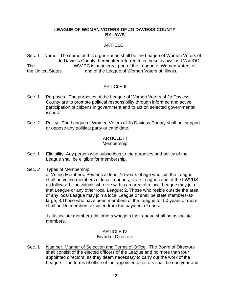#### **LEAGUE OF WOMEN VOTERS OF JO DAVIESS COUNTY BYLAWS**

# ARTICLE I

Sec. 1 Name. The name of this organization shall be the League of Women Voters of Jo Daviess County, hereinafter referred to in these bylaws as LWVJDC. The LWVJDC is an integral part of the League of Women Voters of the United States and of the League of Women Voters of Illinois.

## ARTICLE II

- Sec. 1 Purposes. The purposes of the League of Women Voters of Jo Daviess County are to promote political responsibility through informed and active participation of citizens in government and to act on selected governmental issues.
- Sec. 2 Policy. The League of Women Voters of Jo Daviess County shall not support or oppose any political party or candidate.

# ARTICLE III

#### Membership

- Sec. 1 Eligibility. Any person who subscribes to the purposes and policy of the League shall be eligible for membership.
- Sec. *2* Types of Membership.

a. Voting Members. Persons at least 16 years of age who join the League shall be voting members of local Leagues, state Leagues and of the LWVUS as follows: 1. Individuals who live within an area of a local League may join that League or any other local League; 2. Those who reside outside the area of any local League may join a local League or shall be state members-atlarge; 3.Those who have been members of the League for 50 years or more shall be life members excused from the payment of dues.

b. Associate members. All others who join the League shall be associate members.

#### ARTICLE IV Board of Directors

Sec. 1 Number, Manner of Selection and Terms of Office. The Board of Directors shall consist of the elected officers of the League and no more than four appointed directors, as they deem necessary to carry out the work of the League. The terms of office of the appointed directors shall be one year and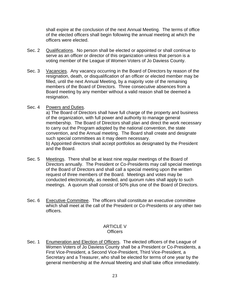shall expire at the conclusion of the next Annual Meeting. The terms of office of the elected officers shall begin following the annual meeting at which the officers were elected.

- Sec. 2 Qualifications. No person shall be elected or appointed or shall continue to serve as an officer or director of this organization unless that person is a voting member of the League of Women Voters of Jo Daviess County.
- Sec. 3 Vacancies. Any vacancy occurring in the Board of Directors by reason of the resignation, death, or disqualification of an officer or elected member may be filled, until the next Annual Meeting, by a majority vote of the remaining members of the Board of Directors. Three consecutive absences from a Board meeting by any member without a valid reason shall be deemed a resignation.

#### Sec. 4 Powers and Duties.

a) The Board of Directors shall have full charge of the property and business of the organization, with full power and authority to manage general membership. The Board of Directors shall plan and direct the work necessary to carry out the Program adopted by the national convention, the state convention, and the Annual meeting. The Board shall create and designate such special committees as it may deem necessary. b) Appointed directors shall accept portfolios as designated by the President and the Board.

- Sec. 5 Meetings. There shall be at least nine regular meetings of the Board of Directors annually. The President or Co-Presidents may call special meetings of the Board of Directors and shall call a special meeting upon the written request of three members of the Board. Meetings and votes may be conducted electronically, as needed, and quorum rules shall apply to such meetings. A quorum shall consist of 50% plus one of the Board of Directors.
- Sec. 6 Executive Committee. The officers shall constitute an executive committee which shall meet at the call of the President or Co-Presidents or any other two officers.

#### ARTICLE V **Officers**

Sec. 1 Enumeration and Election of Officers. The elected officers of the League of Women Voters of Jo Daviess County shall be a President or Co-Presidents, a First Vice-President, a Second Vice-President, Third Vice-President, a Secretary and a Treasurer, who shall be elected for terms of one year by the general membership at the Annual Meeting and shall take office immediately.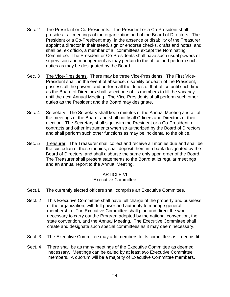- Sec. 2 The President or Co-Presidents. The President or a Co-President shall preside at all meetings of the organization and of the Board of Directors. The President or a Co-President may, in the absence or disability of the Treasurer appoint a director in their stead, sign or endorse checks, drafts and notes, and shall be, ex officio, a member of all committees except the Nominating Committee. The President or Co-Presidents shall have such usual powers of supervision and management as may pertain to the office and perform such duties as may be designated by the Board.
- Sec. 3 The Vice-Presidents. There may be three Vice-Presidents. The First Vice-President shall, in the event of absence, disability or death of the President, possess all the powers and perform all the duties of that office until such time as the Board of Directors shall select one of its members to fill the vacancy until the next Annual Meeting. The Vice-Presidents shall perform such other duties as the President and the Board may designate.
- Sec. 4 Secretary. The Secretary shall keep minutes of the Annual Meeting and all of the meetings of the Board, and shall notify all Officers and Directors of their election. The Secretary shall sign, with the President or a Co-President, all contracts and other instruments when so authorized by the Board of Directors, and shall perform such other functions as may be incidental to the office.
- Sec. 5 Treasurer. The Treasurer shall collect and receive all monies due and shall be the custodian of these monies, shall deposit them in a bank designated by the Board of Directors, and shall disburse the same only upon order of the Board. The Treasurer shall present statements to the Board at its regular meetings and an annual report to the Annual Meeting.

#### **ARTICLE VI** Executive Committee

- Sect.1 The currently elected officers shall comprise an Executive Committee.
- Sect. 2 This Executive Committee shall have full charge of the property and business of the organization, with full power and authority to manage general membership. The Executive Committee shall plan and direct the work necessary to carry out the Program adopted by the national convention, the state convention, and the Annual Meeting. The Executive Committee shall create and designate such special committees as it may deem necessary.
- Sect. 3 The Executive Committee may add members to its committee as it deems fit.
- Sect. 4 There shall be as many meetings of the Executive Committee as deemed necessary. Meetings can be called by at least two Executive Committee members. A quorum will be a majority of Executive Committee members.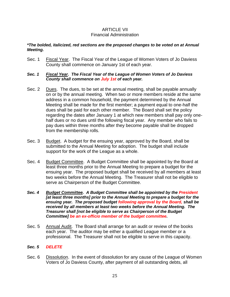#### ARTICLE VII Financial Administration

#### *\*The bolded, italicized, red sections are the proposed changes to be voted on at Annual Meeting.*

Sec. 1 Fiscal Year. The Fiscal Year of the League of Women Voters of Jo Daviess County shall commence on January 1st of each year.

#### *Sec. 1 Fiscal Year. The Fiscal Year of the League of Women Voters of Jo Daviess County shall commence on July 1st of each year.*

- Sec. 2 Dues. The dues, to be set at the annual meeting, shall be payable annually on or by the annual meeting. When two or more members reside at the same address in a common household, the payment determined by the Annual Meeting shall be made for the first member; a payment equal to one-half the dues shall be paid for each other member. The Board shall set the policy regarding the dates after January 1 at which new members shall pay only onehalf dues or no dues until the following fiscal year. Any member who fails to pay dues within three months after they become payable shall be dropped from the membership rolls.
- Sec. 3 Budget. A budget for the ensuing year, approved by the Board, shall be submitted to the Annual Meeting for adoption. The budget shall include support for the work of the League as a whole.
- Sec. 4 Budget Committee. A Budget Committee shall be appointed by the Board at least three months prior to the Annual Meeting to prepare a budget for the ensuing year. The proposed budget shall be received by all members at least two weeks before the Annual Meeting. The Treasurer shall not be eligible to serve as Chairperson of the Budget Committee.
- *Sec. 4 Budget Committee. A Budget Committee shall be appointed by the President [at least three months] prior to the Annual Meeting to prepare a budget for the ensuing year. The proposed budget following approval by the Board, shall be received by all members at least two weeks before the Annual Meeting. The Treasurer shall [not be eligible to serve as Chairperson of the Budget Committee] be an ex-officio member of the budget committee.*
- Sec. 5 Annual Audit. The Board shall arrange for an audit or review of the books each year. The auditor may be either a qualified League member or a professional. The Treasurer shall not be eligible to serve in this capacity.
- *Sec. 5 DELETE*
- Sec. 6 Dissolution. In the event of dissolution for any cause of the League of Women Voters of Jo Daviess County, after payment of all outstanding debts, all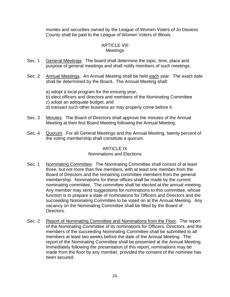monies and securities owned by the League of Women Voters of Jo Daviess County shall be paid to the League of Women Voters of Illinois.

#### ARTICLE VIII **Meetings**

- Sec. 1 General Meetings. The board shall determine the topic, time, place and purpose of general meetings and shall notify members of such meetings.
- Sec. 2 Annual Meetings. An Annual Meeting shall be held each year. The exact date shall be determined by the Board**.** The Annual Meeting shall:
	- a) adopt a local program for the ensuing year,
	- b) elect officers and directors and members of the Nominating Committee
	- c) adopt an adequate budget, and
	- d) transact such other business as may properly come before it.
- Sec. 3 Minutes. The Board of Directors shall approve the minutes of the Annual Meeting at their first Board Meeting following the Annual Meeting.
- Sec. 4 Quorum. For all General Meetings and the Annual Meeting, twenty percent of the voting membership shall constitute a quorum.

## **ARTICLE IX**

#### Nominations and Elections

- Sec. 1 Nominating Committee. The Nominating Committee shall consist of at least three, but not more than five members, with at least one member from the Board of Directors and the remaining committee members from the general membership. Nominations for these offices shall be made by the current nominating committee. The committee shall be elected at the annual meeting. Any member may send suggestions for nominations to this committee, whose function is to prepare a slate of nominations for Officers and Directors and the succeeding Nominating Committee to be voted on at the Annual Meeting. Any vacancy on the Nominating Committee shall be filled by the Board of Directors.
- Sec. 2 Report of Nominating Committee and Nominations from the Floor. The report of the Nominating Committee of its nominations for Officers, Directors, and the members of the succeeding Nominating Committee shall be submitted to all members at least two weeks before the date of the Annual Meeting. The report of the Nominating Committee shall be presented at the Annual Meeting. Immediately following the presentation of this report, nominations may be made from the floor by any member, provided the consent of the nominee has been secured.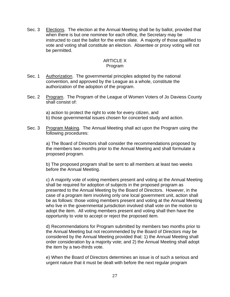Sec. 3 Elections. The election at the Annual Meeting shall be by ballot, provided that when there is but one nominee for each office, the Secretary may be instructed to cast the ballot for the entire slate. A majority of those qualified to vote and voting shall constitute an election. Absentee or proxy voting will not be permitted.

# **ARTICLE X**

#### Program

- Sec. 1 Authorization. The governmental principles adopted by the national convention, and approved by the League as a whole, constitute the authorization of the adoption of the program.
- Sec. 2 Program. The Program of the League of Women Voters of Jo Daviess County shall consist of:

a) action to protect the right to vote for every citizen, and b) those governmental issues chosen for concerted study and action.

Sec. 3 Program Making. The Annual Meeting shall act upon the Program using the following procedures:

> a) The Board of Directors shall consider the recommendations proposed by the members two months prior to the Annual Meeting and shall formulate a proposed program.

b) The proposed program shall be sent to all members at least two weeks before the Annual Meeting.

c) A majority vote of voting members present and voting at the Annual Meeting shall be required for adoption of subjects in the proposed program as presented to the Annual Meeting by the Board of Directors. However, in the case of a program item involving only one local government unit, action shall be as follows: those voting members present and voting at the Annual Meeting who live in the governmental jurisdiction involved shall vote on the motion to adopt the item. All voting members present and voting shall then have the opportunity to vote to accept or reject the proposed item.

d) Recommendations for Program submitted by members two months prior to the Annual Meeting but not recommended by the Board of Directors may be considered by the Annual Meeting provided that: 1) the Annual Meeting shall order consideration by a majority vote; and 2) the Annual Meeting shall adopt the item by a two-thirds vote.

e) When the Board of Directors determines an issue is of such a serious and urgent nature that it must be dealt with before the next regular program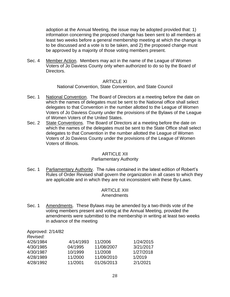adoption at the Annual Meeting, the issue may be adopted provided that: 1) information concerning the proposed change has been sent to all members at least two weeks before a general membership meeting at which the change is to be discussed and a vote is to be taken, and 2) the proposed change must be approved by a majority of those voting members present.

Sec. 4 Member Action. Members may act in the name of the League of Women Voters of Jo Daviess County only when authorized to do so by the Board of Directors.

#### ARTICLE XI

National Convention, State Convention, and State Council

- Sec. 1 National Convention. The Board of Directors at a meeting before the date on which the names of delegates must be sent to the National office shall select delegates to that Convention in the number allotted to the League of Women Voters of Jo Daviess County under the provisions of the Bylaws of the League of Women Voters of the United States.
- Sec. 2 State Conventions. The Board of Directors at a meeting before the date on which the names of the delegates must be sent to the State Office shall select delegates to that Convention in the number allotted the League of Women Voters of Jo Daviess County under the provisions of the League of Women Voters of Illinois.

#### ARTICLE XII

#### Parliamentary Authority

Sec. 1 Parliamentary Authority. The rules contained in the latest edition of Robert's Rules of Order Revised shall govern the organization in all cases to which they are applicable and in which they are not inconsistent with these By-Laws.

# ARTICLE XIII

#### Amendments

Sec. 1 Amendments. These Bylaws may be amended by a two-thirds vote of the voting members present and voting at the Annual Meeting, provided the amendments were submitted to the membership in writing at least two weeks in advance of the meeting

Approved: 2/14/82

| 4/14/1993 | 11/2006    | 1/24/2015 |
|-----------|------------|-----------|
| 04/1995   | 11/08/2007 | 3/21/2017 |
| 10/1999   | 11/2008    | 1/27/2018 |
| 11/2000   | 11/09/2010 | 1/2019    |
| 11/2001   | 01/26/2013 | 2/1/2021  |
|           |            |           |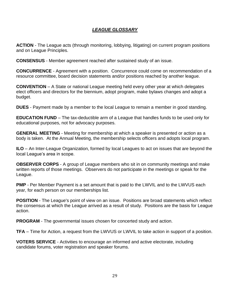# *LEAGUE GLOSSARY*

**ACTION** - The League acts (through monitoring, lobbying, litigating) on current program positions and on League Principles.

**CONSENSUS** - Member agreement reached after sustained study of an issue.

**CONCURRENCE** - Agreement with a position. Concurrence could come on recommendation of a resource committee, board decision statements and/or positions reached by another league.

**CONVENTION** – A State or national League meeting held every other year at which delegates elect officers and directors for the biennium, adopt program, make bylaws changes and adopt a budget.

**DUES** - Payment made by a member to the local League to remain a member in good standing.

**EDUCATION FUND** – The tax-deductible arm of a League that handles funds to be used only for educational purposes, not for advocacy purposes.

**GENERAL MEETING** - Meeting for membership at which a speaker is presented or action as a body is taken. At the Annual Meeting, the membership selects officers and adopts local program.

**ILO** – An Inter-League Organization, formed by local Leagues to act on issues that are beyond the local League's area in scope.

**OBSERVER CORPS** - A group of League members who sit in on community meetings and make written reports of those meetings. Observers do not participate in the meetings or speak for the League.

**PMP** - Per Member Payment is a set amount that is paid to the LWVIL and to the LWVUS each year, for each person on our memberships list.

**POSITION** - The League's point of view on an issue. Positions are broad statements which reflect the consensus at which the League arrived as a result of study. Positions are the basis for League action.

**PROGRAM** - The governmental issues chosen for concerted study and action.

**TFA** – Time for Action, a request from the LWVUS or LWVIL to take action in support of a position.

**VOTERS SERVICE** - Activities to encourage an informed and active electorate, including candidate forums, voter registration and speaker forums.